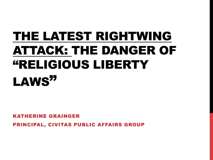# THE LATEST RIGHTWING ATTACK: THE DANGER OF "RELIGIOUS LIBERTY LAWS"

KATHERINE GRAINGER

PRINCIPAL, CIVITAS PUBLIC AFFAIRS GROUP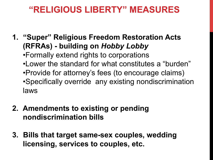#### **"RELIGIOUS LIBERTY" MEASURES**

#### **1. "Super" Religious Freedom Restoration Acts (RFRAs) - building on** *Hobby Lobby*

•Formally extend rights to corporations

- •Lower the standard for what constitutes a "burden"
- •Provide for attorney's fees (to encourage claims)
- •Specifically override any existing nondiscrimination laws

#### **2. Amendments to existing or pending nondiscrimination bills**

**3. Bills that target same-sex couples, wedding licensing, services to couples, etc.**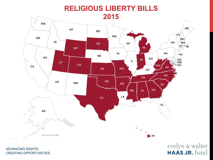#### "Religious Liberty" Bills **RELIGIOUS LIBERTY BILLS**



ADVANCING RIGHTS. CREATING OPPORTUNITIES. evelyn & walter<br>HAAS JR. fund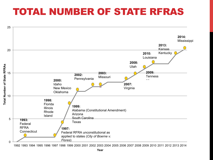### TOTAL NUMBER OF STATE RFRAS



1992 1993 1994 1995 1996 1997 1998 1999 2000 2001 2002 2003 2004 2005 2006 2007 2008 2009 2010 2011 2012 2013 2014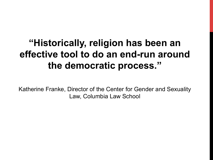## **"Historically, religion has been an effective tool to do an end-run around the democratic process."**

Katherine Franke, Director of the Center for Gender and Sexuality Law, Columbia Law School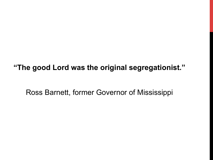#### **"The good Lord was the original segregationist."**

Ross Barnett, former Governor of Mississippi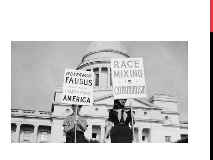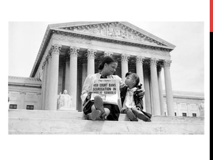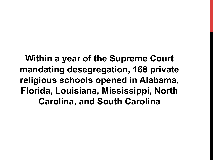**Within a year of the Supreme Court mandating desegregation, 168 private religious schools opened in Alabama, Florida, Louisiana, Mississippi, North Carolina, and South Carolina**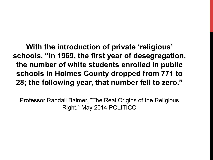**With the introduction of private 'religious' schools, "In 1969, the first year of desegregation, the number of white students enrolled in public schools in Holmes County dropped from 771 to 28; the following year, that number fell to zero."** 

Professor Randall Balmer, "The Real Origins of the Religious Right," May 2014 POLITICO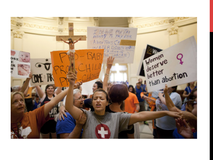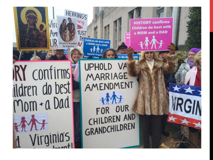UPHOLD VA RY confirms ildren do best Mom + a Dad Virginia's

**HERRINGS** 

reserve Families

Children do best wit

a MOM and a DAD

MARRIAGE AMENDMENT FOR OUR **CHILDREN AND** GRANDCHILDREN

**HISTORY confirms** Children do best with a MOM and a DAD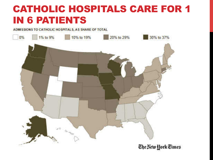## CATHOLIC HOSPITALS CARE FOR 1 IN 6 PATIENTS

#### ADMISSIONS TO CATHOLIC HOSPITALS, AS SHARE OF TOTAL

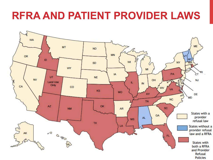## **RFRA AND PATIENT PROVIDER LAWS**

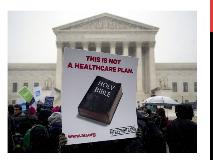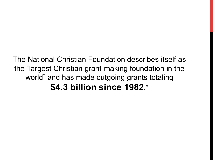The National Christian Foundation describes itself as the "largest Christian grant-making foundation in the world" and has made outgoing grants totaling **\$4.3 billion since 1982**."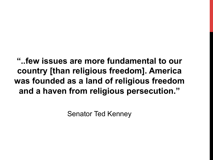**"..few issues are more fundamental to our country [than religious freedom]. America was founded as a land of religious freedom and a haven from religious persecution."** 

Senator Ted Kenney